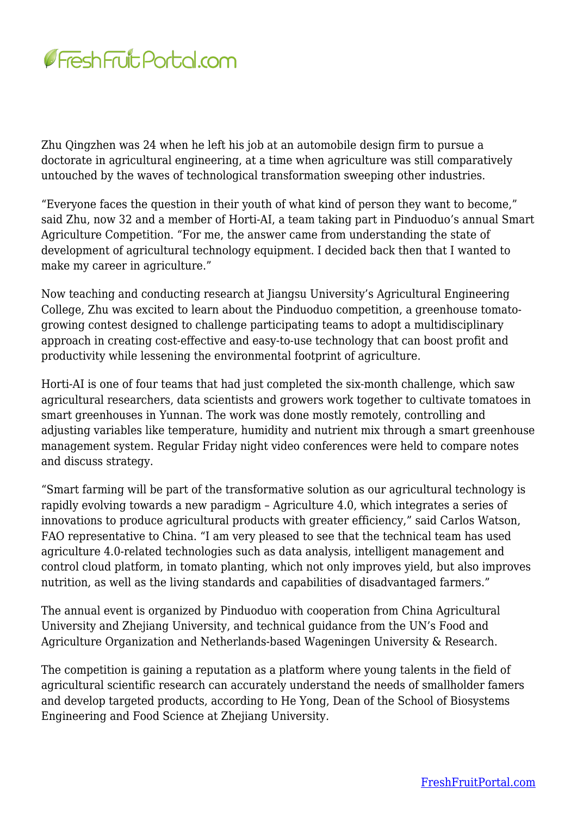

Zhu Qingzhen was 24 when he left his job at an automobile design firm to pursue a doctorate in agricultural engineering, at a time when agriculture was still comparatively untouched by the waves of technological transformation sweeping other industries.

"Everyone faces the question in their youth of what kind of person they want to become," said Zhu, now 32 and a member of Horti-AI, a team taking part in Pinduoduo's annual Smart Agriculture Competition. "For me, the answer came from understanding the state of development of agricultural technology equipment. I decided back then that I wanted to make my career in agriculture."

Now teaching and conducting research at Jiangsu University's Agricultural Engineering College, Zhu was excited to learn about the Pinduoduo competition, a greenhouse tomatogrowing contest designed to challenge participating teams to adopt a multidisciplinary approach in creating cost-effective and easy-to-use technology that can boost profit and productivity while lessening the environmental footprint of agriculture.

Horti-AI is one of four teams that had just completed the six-month challenge, which saw agricultural researchers, data scientists and growers work together to cultivate tomatoes in smart greenhouses in Yunnan. The work was done mostly remotely, controlling and adjusting variables like temperature, humidity and nutrient mix through a smart greenhouse management system. Regular Friday night video conferences were held to compare notes and discuss strategy.

"Smart farming will be part of the transformative solution as our agricultural technology is rapidly evolving towards a new paradigm – Agriculture 4.0, which integrates a series of innovations to produce agricultural products with greater efficiency," said Carlos Watson, FAO representative to China. "I am very pleased to see that the technical team has used agriculture 4.0-related technologies such as data analysis, intelligent management and control cloud platform, in tomato planting, which not only improves yield, but also improves nutrition, as well as the living standards and capabilities of disadvantaged farmers."

The annual event is organized by Pinduoduo with cooperation from China Agricultural University and Zhejiang University, and technical guidance from the UN's Food and Agriculture Organization and Netherlands-based Wageningen University & Research.

The competition is gaining a reputation as a platform where young talents in the field of agricultural scientific research can accurately understand the needs of smallholder famers and develop targeted products, according to He Yong, Dean of the School of Biosystems Engineering and Food Science at Zhejiang University.